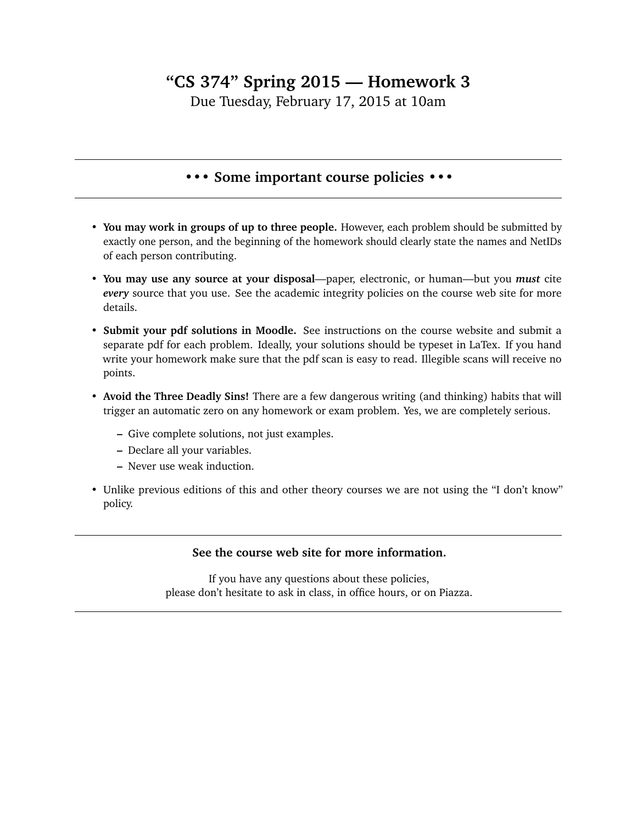## **"CS 374" Spring 2015 — Homework 3**

Due Tuesday, February 17, 2015 at 10am

## **••• Some important course policies •••**

- **You may work in groups of up to three people.** However, each problem should be submitted by exactly one person, and the beginning of the homework should clearly state the names and NetIDs of each person contributing.
- **You may use any source at your disposal**—paper, electronic, or human—but you *must* cite *every* source that you use. See the academic integrity policies on the course web site for more details.
- **Submit your pdf solutions in Moodle.** See instructions on the course website and submit a separate pdf for each problem. Ideally, your solutions should be typeset in LaTex. If you hand write your homework make sure that the pdf scan is easy to read. Illegible scans will receive no points.
- **Avoid the Three Deadly Sins!** There are a few dangerous writing (and thinking) habits that will trigger an automatic zero on any homework or exam problem. Yes, we are completely serious.
	- **–** Give complete solutions, not just examples.
	- **–** Declare all your variables.
	- **–** Never use weak induction.
- Unlike previous editions of this and other theory courses we are not using the "I don't know" policy.

## **See the course web site for more information.**

If you have any questions about these policies, please don't hesitate to ask in class, in office hours, or on Piazza.